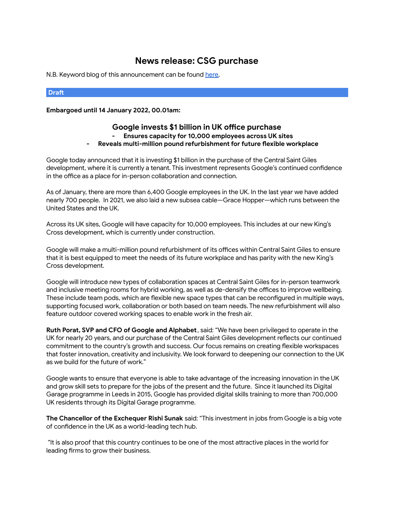## **News release: CSG purchase**

N.B. Keyword blog of this announcement can be found [here.](https://docs.google.com/document/d/17Hum9V1ZBepJ_-TgqbHwc1Sk5Pzt9CYKpMnQwU1Itvc/edit?usp=sharing&resourcekey=0-RsyUQmxOj9R3291HXwwRaw)

## **Draft**

**Embargoed until 14 January 2022, 00.01am:**

## **Google invests \$1 billion in UK office purchase - Ensures capacity for 10,000 employees across UK sites - Reveals multi-million pound refurbishment for future flexible workplace**

Google today announced that it is investing \$1 billion in the purchase of the Central Saint Giles development, where it is currently a tenant. This investment represents Google's continued confidence in the office as a place for in-person collaboration and connection.

As of January, there are more than 6,400 Google employees in the UK. In the last year we have added nearly 700 people. In 2021, we also laid a new subsea cable—Grace Hopper—which runs between the United States and the UK.

Across its UK sites, Google will have capacity for 10,000 employees. This includes at our new King's Cross development, which is currently under construction.

Google will make a multi-million pound refurbishment of its offices within Central Saint Giles to ensure that it is best equipped to meet the needs of its future workplace and has parity with the new King's Cross development.

Google will introduce new types of collaboration spaces at Central Saint Giles for in-person teamwork and inclusive meeting rooms for hybrid working, as well as de-densify the offices to improve wellbeing. These include team pods, which are flexible new space types that can be reconfigured in multiple ways, supporting focused work, collaboration or both based on team needs. The new refurbishment will also feature outdoor covered working spaces to enable work in the fresh air.

**Ruth Porat, SVP and CFO of Google and Alphabet**, said: "We have been privileged to operate in the UK for nearly 20 years, and our purchase of the Central Saint Giles development reflects our continued commitment to the country's growth and success. Our focus remains on creating flexible workspaces that foster innovation, creativity and inclusivity. We look forward to deepening our connection to the UK as we build for the future of work."

Google wants to ensure that everyone is able to take advantage of the increasing innovation in the UK and grow skill sets to prepare for the jobs of the present and the future. Since it launched its Digital Garage programme in Leeds in 2015, Google has provided digital skills training to more than 700,000 UK residents through its Digital Garage programme.

**The Chancellor of the Exchequer Rishi Sunak** said: "This investment in jobs from Google is a big vote of confidence in the UK as a world-leading tech hub.

"It is also proof that this country continues to be one of the most attractive places in the world for leading firms to grow their business.